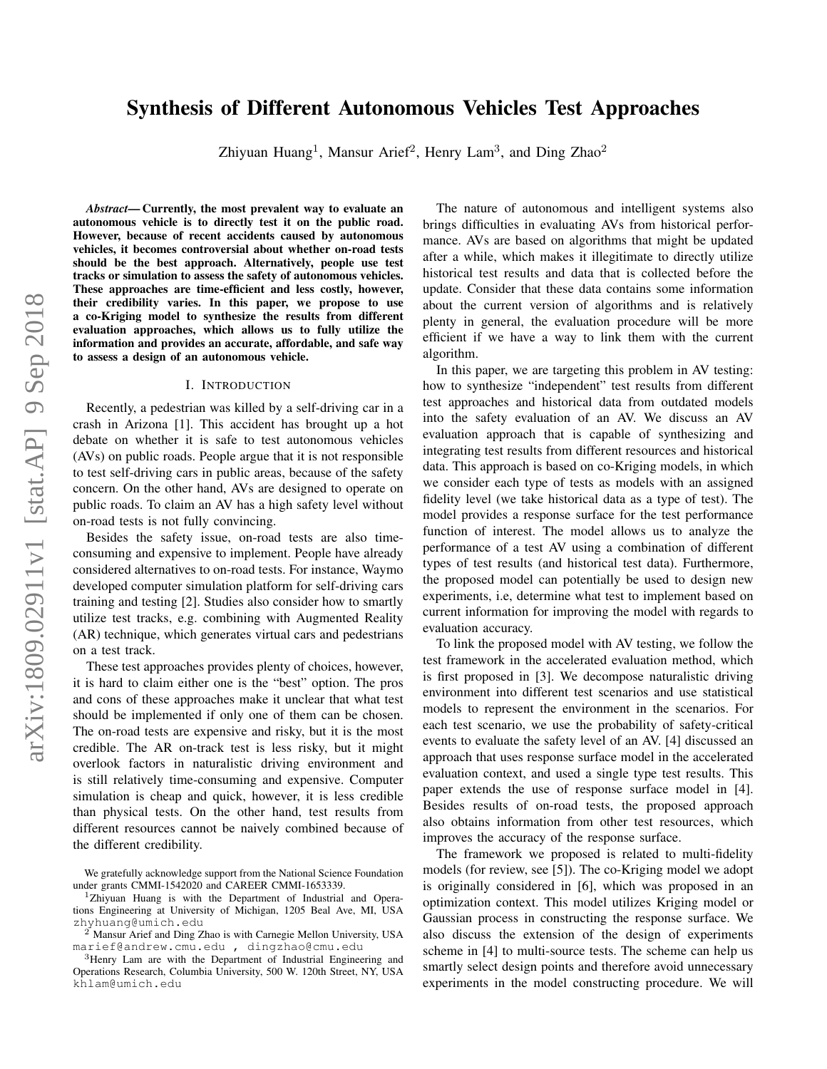# Synthesis of Different Autonomous Vehicles Test Approaches

Zhiyuan Huang<sup>1</sup>, Mansur Arief<sup>2</sup>, Henry Lam<sup>3</sup>, and Ding Zhao<sup>2</sup>

*Abstract*— Currently, the most prevalent way to evaluate an autonomous vehicle is to directly test it on the public road. However, because of recent accidents caused by autonomous vehicles, it becomes controversial about whether on-road tests should be the best approach. Alternatively, people use test tracks or simulation to assess the safety of autonomous vehicles. These approaches are time-efficient and less costly, however, their credibility varies. In this paper, we propose to use a co-Kriging model to synthesize the results from different evaluation approaches, which allows us to fully utilize the information and provides an accurate, affordable, and safe way to assess a design of an autonomous vehicle.

#### I. INTRODUCTION

Recently, a pedestrian was killed by a self-driving car in a crash in Arizona [1]. This accident has brought up a hot debate on whether it is safe to test autonomous vehicles (AVs) on public roads. People argue that it is not responsible to test self-driving cars in public areas, because of the safety concern. On the other hand, AVs are designed to operate on public roads. To claim an AV has a high safety level without on-road tests is not fully convincing.

Besides the safety issue, on-road tests are also timeconsuming and expensive to implement. People have already considered alternatives to on-road tests. For instance, Waymo developed computer simulation platform for self-driving cars training and testing [2]. Studies also consider how to smartly utilize test tracks, e.g. combining with Augmented Reality (AR) technique, which generates virtual cars and pedestrians on a test track.

These test approaches provides plenty of choices, however, it is hard to claim either one is the "best" option. The pros and cons of these approaches make it unclear that what test should be implemented if only one of them can be chosen. The on-road tests are expensive and risky, but it is the most credible. The AR on-track test is less risky, but it might overlook factors in naturalistic driving environment and is still relatively time-consuming and expensive. Computer simulation is cheap and quick, however, it is less credible than physical tests. On the other hand, test results from different resources cannot be naively combined because of the different credibility.

The nature of autonomous and intelligent systems also brings difficulties in evaluating AVs from historical performance. AVs are based on algorithms that might be updated after a while, which makes it illegitimate to directly utilize historical test results and data that is collected before the update. Consider that these data contains some information about the current version of algorithms and is relatively plenty in general, the evaluation procedure will be more efficient if we have a way to link them with the current algorithm.

In this paper, we are targeting this problem in AV testing: how to synthesize "independent" test results from different test approaches and historical data from outdated models into the safety evaluation of an AV. We discuss an AV evaluation approach that is capable of synthesizing and integrating test results from different resources and historical data. This approach is based on co-Kriging models, in which we consider each type of tests as models with an assigned fidelity level (we take historical data as a type of test). The model provides a response surface for the test performance function of interest. The model allows us to analyze the performance of a test AV using a combination of different types of test results (and historical test data). Furthermore, the proposed model can potentially be used to design new experiments, i.e, determine what test to implement based on current information for improving the model with regards to evaluation accuracy.

To link the proposed model with AV testing, we follow the test framework in the accelerated evaluation method, which is first proposed in [3]. We decompose naturalistic driving environment into different test scenarios and use statistical models to represent the environment in the scenarios. For each test scenario, we use the probability of safety-critical events to evaluate the safety level of an AV. [4] discussed an approach that uses response surface model in the accelerated evaluation context, and used a single type test results. This paper extends the use of response surface model in [4]. Besides results of on-road tests, the proposed approach also obtains information from other test resources, which improves the accuracy of the response surface.

The framework we proposed is related to multi-fidelity models (for review, see [5]). The co-Kriging model we adopt is originally considered in [6], which was proposed in an optimization context. This model utilizes Kriging model or Gaussian process in constructing the response surface. We also discuss the extension of the design of experiments scheme in [4] to multi-source tests. The scheme can help us smartly select design points and therefore avoid unnecessary experiments in the model constructing procedure. We will

We gratefully acknowledge support from the National Science Foundation under grants CMMI-1542020 and CAREER CMMI-1653339.

<sup>&</sup>lt;sup>1</sup>Zhiyuan Huang is with the Department of Industrial and Operations Engineering at University of Michigan, 1205 Beal Ave, MI, USA zhyhuang@umich.edu

<sup>2</sup> Mansur Arief and Ding Zhao is with Carnegie Mellon University, USA marief@andrew.cmu.edu , dingzhao@cmu.edu

<sup>&</sup>lt;sup>3</sup>Henry Lam are with the Department of Industrial Engineering and Operations Research, Columbia University, 500 W. 120th Street, NY, USA khlam@umich.edu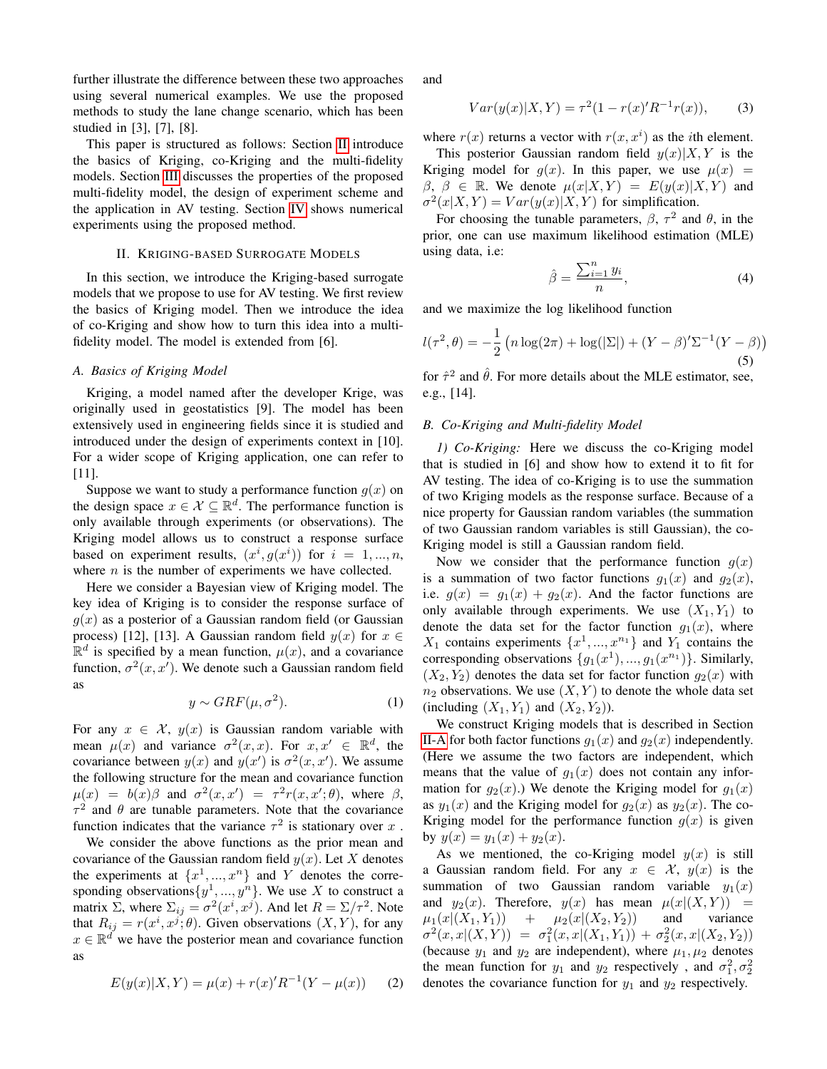further illustrate the difference between these two approaches using several numerical examples. We use the proposed methods to study the lane change scenario, which has been studied in [3], [7], [8].

This paper is structured as follows: Section [II](#page-1-0) introduce the basics of Kriging, co-Kriging and the multi-fidelity models. Section [III](#page-2-0) discusses the properties of the proposed multi-fidelity model, the design of experiment scheme and the application in AV testing. Section [IV](#page-3-0) shows numerical experiments using the proposed method.

### II. KRIGING-BASED SURROGATE MODELS

<span id="page-1-0"></span>In this section, we introduce the Kriging-based surrogate models that we propose to use for AV testing. We first review the basics of Kriging model. Then we introduce the idea of co-Kriging and show how to turn this idea into a multifidelity model. The model is extended from [6].

## <span id="page-1-1"></span>*A. Basics of Kriging Model*

Kriging, a model named after the developer Krige, was originally used in geostatistics [9]. The model has been extensively used in engineering fields since it is studied and introduced under the design of experiments context in [10]. For a wider scope of Kriging application, one can refer to [11].

Suppose we want to study a performance function  $g(x)$  on the design space  $x \in \mathcal{X} \subseteq \mathbb{R}^d$ . The performance function is only available through experiments (or observations). The Kriging model allows us to construct a response surface based on experiment results,  $(x^i, g(x^i))$  for  $i = 1, ..., n$ , where  $n$  is the number of experiments we have collected.

Here we consider a Bayesian view of Kriging model. The key idea of Kriging is to consider the response surface of  $q(x)$  as a posterior of a Gaussian random field (or Gaussian process) [12], [13]. A Gaussian random field  $y(x)$  for  $x \in$  $\mathbb{R}^d$  is specified by a mean function,  $\mu(x)$ , and a covariance function,  $\sigma^2(x, x')$ . We denote such a Gaussian random field as

$$
y \sim GRF(\mu, \sigma^2). \tag{1}
$$

For any  $x \in \mathcal{X}$ ,  $y(x)$  is Gaussian random variable with mean  $\mu(x)$  and variance  $\sigma^2(x,x)$ . For  $x, x' \in \mathbb{R}^d$ , the covariance between  $y(x)$  and  $y(x')$  is  $\sigma^2(x, x')$ . We assume the following structure for the mean and covariance function  $\mu(x) = b(x)\beta$  and  $\sigma^2(x, x') = \tau^2 r(x, x'; \theta)$ , where  $\beta$ ,  $\tau^2$  and  $\theta$  are tunable parameters. Note that the covariance function indicates that the variance  $\tau^2$  is stationary over x.

We consider the above functions as the prior mean and covariance of the Gaussian random field  $y(x)$ . Let X denotes the experiments at  $\{x^1, ..., x^n\}$  and Y denotes the corresponding observations  $\{y^1, ..., y^n\}$ . We use X to construct a matrix  $\Sigma$ , where  $\Sigma_{ij} = \sigma^2(x^i, x^j)$ . And let  $R = \Sigma / \tau^2$ . Note that  $R_{ij} = r(x^i, x^j; \theta)$ . Given observations  $(X, Y)$ , for any  $x \in \mathbb{R}^d$  we have the posterior mean and covariance function as

<span id="page-1-2"></span>
$$
E(y(x)|X,Y) = \mu(x) + r(x)'R^{-1}(Y - \mu(x)) \tag{2}
$$

and

<span id="page-1-3"></span>
$$
Var(y(x)|X,Y) = \tau^{2}(1 - r(x)'R^{-1}r(x)), \qquad (3)
$$

where  $r(x)$  returns a vector with  $r(x, x<sup>i</sup>)$  as the *i*th element.

This posterior Gaussian random field  $y(x)|X, Y$  is the Kriging model for  $g(x)$ . In this paper, we use  $\mu(x)$  =  $\beta$ ,  $\beta \in \mathbb{R}$ . We denote  $\mu(x|X, Y) = E(y(x)|X, Y)$  and  $\sigma^2(x|X,Y) = Var(y(x)|X,Y)$  for simplification.

For choosing the tunable parameters,  $\beta$ ,  $\tau^2$  and  $\theta$ , in the prior, one can use maximum likelihood estimation (MLE) using data, i.e:

$$
\hat{\beta} = \frac{\sum_{i=1}^{n} y_i}{n},\tag{4}
$$

and we maximize the log likelihood function

$$
l(\tau^2, \theta) = -\frac{1}{2} \left( n \log(2\pi) + \log(|\Sigma|) + (Y - \beta)' \Sigma^{-1} (Y - \beta) \right)
$$
\n(5)

for  $\hat{\tau}^2$  and  $\hat{\theta}$ . For more details about the MLE estimator, see, e.g., [14].

#### <span id="page-1-4"></span>*B. Co-Kriging and Multi-fidelity Model*

*1) Co-Kriging:* Here we discuss the co-Kriging model that is studied in [6] and show how to extend it to fit for AV testing. The idea of co-Kriging is to use the summation of two Kriging models as the response surface. Because of a nice property for Gaussian random variables (the summation of two Gaussian random variables is still Gaussian), the co-Kriging model is still a Gaussian random field.

Now we consider that the performance function  $g(x)$ is a summation of two factor functions  $g_1(x)$  and  $g_2(x)$ , i.e.  $g(x) = g_1(x) + g_2(x)$ . And the factor functions are only available through experiments. We use  $(X_1, Y_1)$  to denote the data set for the factor function  $g_1(x)$ , where  $X_1$  contains experiments  $\{x^1, ..., x^{n_1}\}$  and  $Y_1$  contains the corresponding observations  $\{g_1(x^1),...,g_1(x^{n_1})\}$ . Similarly,  $(X_2, Y_2)$  denotes the data set for factor function  $g_2(x)$  with  $n_2$  observations. We use  $(X, Y)$  to denote the whole data set (including  $(X_1, Y_1)$  and  $(X_2, Y_2)$ ).

We construct Kriging models that is described in Section [II-A](#page-1-1) for both factor functions  $g_1(x)$  and  $g_2(x)$  independently. (Here we assume the two factors are independent, which means that the value of  $g_1(x)$  does not contain any information for  $q_2(x)$ .) We denote the Kriging model for  $q_1(x)$ as  $y_1(x)$  and the Kriging model for  $g_2(x)$  as  $y_2(x)$ . The co-Kriging model for the performance function  $g(x)$  is given by  $y(x) = y_1(x) + y_2(x)$ .

As we mentioned, the co-Kriging model  $y(x)$  is still a Gaussian random field. For any  $x \in \mathcal{X}$ ,  $y(x)$  is the summation of two Gaussian random variable  $y_1(x)$ and  $y_2(x)$ . Therefore,  $y(x)$  has mean  $\mu(x|(X, Y)) =$  $\mu_1(x|(X_1, Y_1)) + \mu_2(x|(X_2, Y_2))$  and variance  $\sigma^2(x,x|(X,Y)) = \sigma_1^2(x,x|(X_1,Y_1)) + \sigma_2^2(x,x|(X_2,Y_2))$ (because  $y_1$  and  $y_2$  are independent), where  $\mu_1, \mu_2$  denotes the mean function for  $y_1$  and  $y_2$  respectively, and  $\sigma_1^2, \sigma_2^2$ denotes the covariance function for  $y_1$  and  $y_2$  respectively.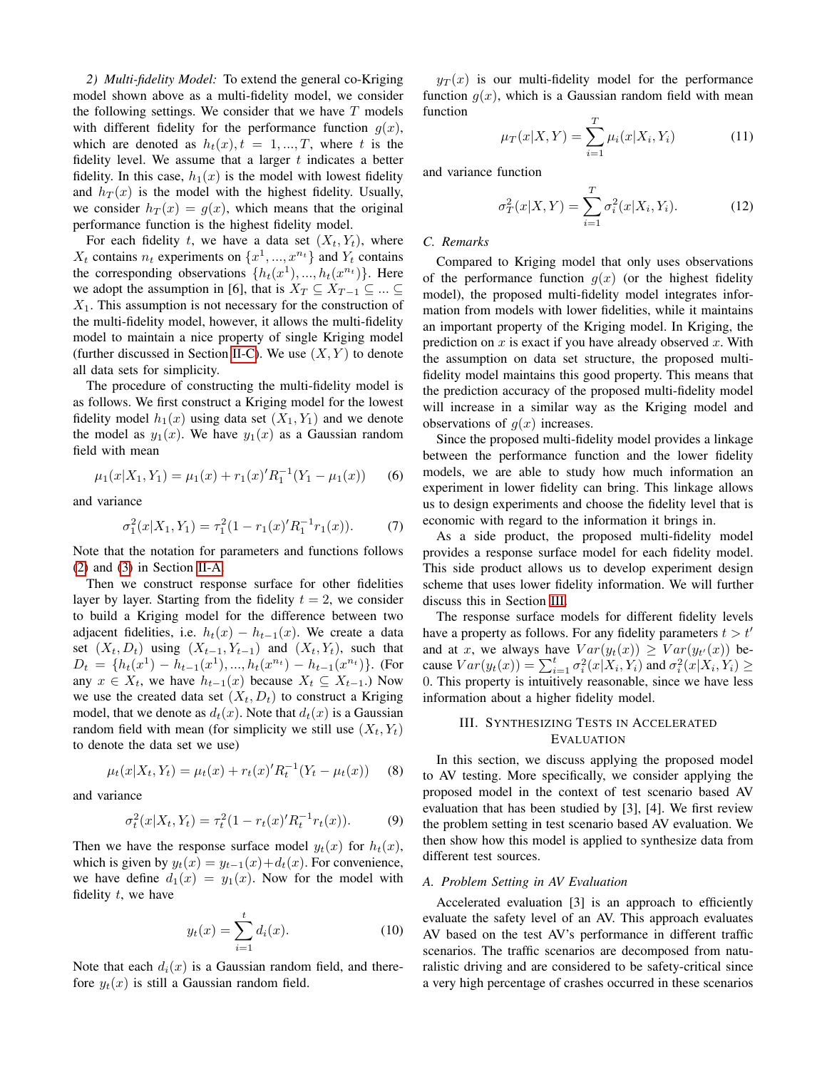*2) Multi-fidelity Model:* To extend the general co-Kriging model shown above as a multi-fidelity model, we consider the following settings. We consider that we have  $T$  models with different fidelity for the performance function  $g(x)$ , which are denoted as  $h_t(x)$ ,  $t = 1, ..., T$ , where t is the fidelity level. We assume that a larger  $t$  indicates a better fidelity. In this case,  $h_1(x)$  is the model with lowest fidelity and  $h_T(x)$  is the model with the highest fidelity. Usually, we consider  $h_T(x) = g(x)$ , which means that the original performance function is the highest fidelity model.

For each fidelity t, we have a data set  $(X_t, Y_t)$ , where  $X_t$  contains  $n_t$  experiments on  $\{x^1, ..., x^{n_t}\}$  and  $Y_t$  contains the corresponding observations  $\{h_t(x^1),...,h_t(x^{n_t})\}$ . Here we adopt the assumption in [6], that is  $X_T \subseteq X_{T-1} \subseteq ... \subseteq$  $X_1$ . This assumption is not necessary for the construction of the multi-fidelity model, however, it allows the multi-fidelity model to maintain a nice property of single Kriging model (further discussed in Section [II-C\)](#page-2-1). We use  $(X, Y)$  to denote all data sets for simplicity.

The procedure of constructing the multi-fidelity model is as follows. We first construct a Kriging model for the lowest fidelity model  $h_1(x)$  using data set  $(X_1, Y_1)$  and we denote the model as  $y_1(x)$ . We have  $y_1(x)$  as a Gaussian random field with mean

$$
\mu_1(x|X_1, Y_1) = \mu_1(x) + r_1(x)'R_1^{-1}(Y_1 - \mu_1(x)) \tag{6}
$$

and variance

$$
\sigma_1^2(x|X_1, Y_1) = \tau_1^2(1 - r_1(x)'R_1^{-1}r_1(x)).
$$
 (7)

Note that the notation for parameters and functions follows [\(2\)](#page-1-2) and [\(3\)](#page-1-3) in Section [II-A.](#page-1-1)

Then we construct response surface for other fidelities layer by layer. Starting from the fidelity  $t = 2$ , we consider to build a Kriging model for the difference between two adjacent fidelities, i.e.  $h_t(x) - h_{t-1}(x)$ . We create a data set  $(X_t, D_t)$  using  $(X_{t-1}, Y_{t-1})$  and  $(X_t, Y_t)$ , such that  $D_t = \{h_t(x^1) - h_{t-1}(x^1), ..., h_t(x^{n_t}) - h_{t-1}(x^{n_t})\}.$  (For any  $x \in X_t$ , we have  $h_{t-1}(x)$  because  $X_t \subseteq X_{t-1}$ .) Now we use the created data set  $(X_t, D_t)$  to construct a Kriging model, that we denote as  $d_t(x)$ . Note that  $d_t(x)$  is a Gaussian random field with mean (for simplicity we still use  $(X_t, Y_t)$ ) to denote the data set we use)

$$
\mu_t(x|X_t, Y_t) = \mu_t(x) + r_t(x)'R_t^{-1}(Y_t - \mu_t(x)) \tag{8}
$$

and variance

$$
\sigma_t^2(x|X_t, Y_t) = \tau_t^2 (1 - r_t(x)' R_t^{-1} r_t(x)). \tag{9}
$$

Then we have the response surface model  $y_t(x)$  for  $h_t(x)$ , which is given by  $y_t(x) = y_{t-1}(x) + d_t(x)$ . For convenience, we have define  $d_1(x) = y_1(x)$ . Now for the model with fidelity  $t$ , we have

$$
y_t(x) = \sum_{i=1}^t d_i(x).
$$
 (10)

Note that each  $d_i(x)$  is a Gaussian random field, and therefore  $y_t(x)$  is still a Gaussian random field.

 $y_T(x)$  is our multi-fidelity model for the performance function  $g(x)$ , which is a Gaussian random field with mean function

$$
\mu_T(x|X,Y) = \sum_{i=1}^T \mu_i(x|X_i, Y_i)
$$
 (11)

and variance function

$$
\sigma_T^2(x|X,Y) = \sum_{i=1}^T \sigma_i^2(x|X_i, Y_i).
$$
 (12)

## <span id="page-2-1"></span>*C. Remarks*

Compared to Kriging model that only uses observations of the performance function  $q(x)$  (or the highest fidelity model), the proposed multi-fidelity model integrates information from models with lower fidelities, while it maintains an important property of the Kriging model. In Kriging, the prediction on  $x$  is exact if you have already observed  $x$ . With the assumption on data set structure, the proposed multifidelity model maintains this good property. This means that the prediction accuracy of the proposed multi-fidelity model will increase in a similar way as the Kriging model and observations of  $q(x)$  increases.

Since the proposed multi-fidelity model provides a linkage between the performance function and the lower fidelity models, we are able to study how much information an experiment in lower fidelity can bring. This linkage allows us to design experiments and choose the fidelity level that is economic with regard to the information it brings in.

As a side product, the proposed multi-fidelity model provides a response surface model for each fidelity model. This side product allows us to develop experiment design scheme that uses lower fidelity information. We will further discuss this in Section [III.](#page-2-0)

The response surface models for different fidelity levels have a property as follows. For any fidelity parameters  $t > t'$ and at x, we always have  $Var(y_t(x)) \geq Var(y_{t'}(x))$  because  $Var(y_t(x)) = \sum_{i=1}^t \sigma_i^2(x|X_i, Y_i)$  and  $\sigma_i^2(x|X_i, Y_i) \ge$ 0. This property is intuitively reasonable, since we have less information about a higher fidelity model.

## <span id="page-2-0"></span>III. SYNTHESIZING TESTS IN ACCELERATED EVALUATION

In this section, we discuss applying the proposed model to AV testing. More specifically, we consider applying the proposed model in the context of test scenario based AV evaluation that has been studied by [3], [4]. We first review the problem setting in test scenario based AV evaluation. We then show how this model is applied to synthesize data from different test sources.

## <span id="page-2-2"></span>*A. Problem Setting in AV Evaluation*

Accelerated evaluation [3] is an approach to efficiently evaluate the safety level of an AV. This approach evaluates AV based on the test AV's performance in different traffic scenarios. The traffic scenarios are decomposed from naturalistic driving and are considered to be safety-critical since a very high percentage of crashes occurred in these scenarios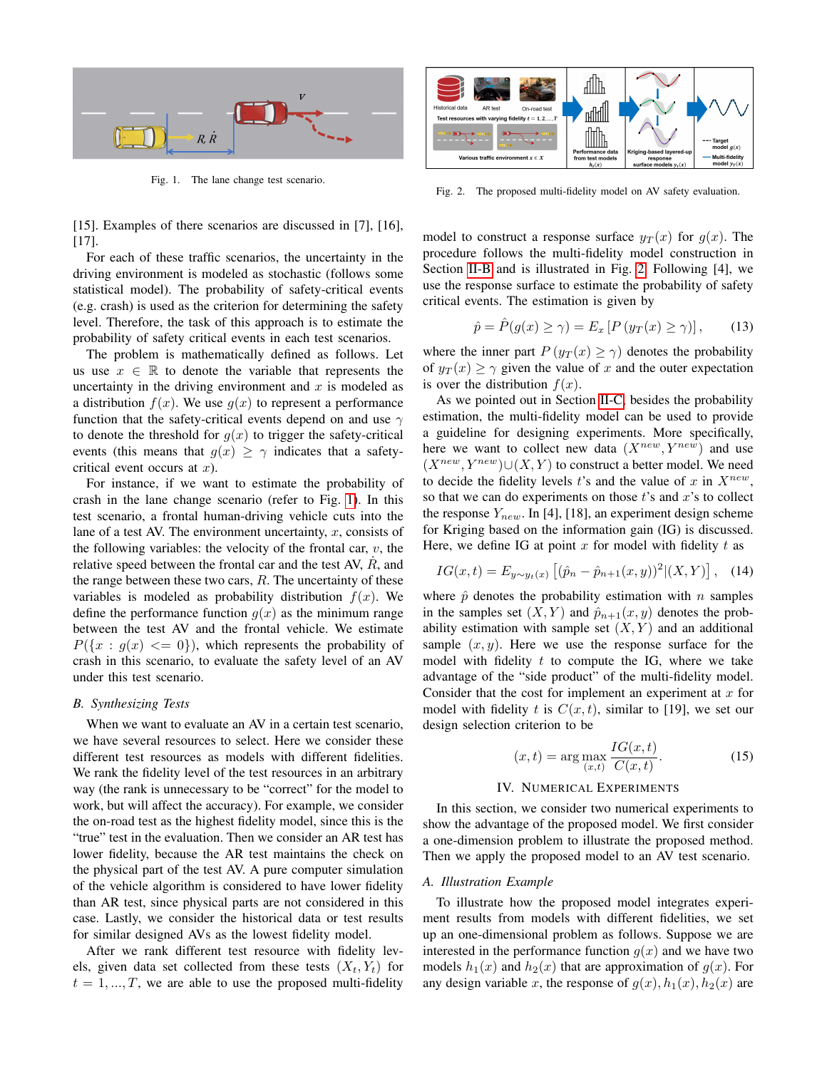

<span id="page-3-1"></span>Fig. 1. The lane change test scenario.

[15]. Examples of there scenarios are discussed in [7], [16], [17].

For each of these traffic scenarios, the uncertainty in the driving environment is modeled as stochastic (follows some statistical model). The probability of safety-critical events (e.g. crash) is used as the criterion for determining the safety level. Therefore, the task of this approach is to estimate the probability of safety critical events in each test scenarios.

The problem is mathematically defined as follows. Let us use  $x \in \mathbb{R}$  to denote the variable that represents the uncertainty in the driving environment and  $x$  is modeled as a distribution  $f(x)$ . We use  $q(x)$  to represent a performance function that the safety-critical events depend on and use  $\gamma$ to denote the threshold for  $g(x)$  to trigger the safety-critical events (this means that  $g(x) \geq \gamma$  indicates that a safetycritical event occurs at  $x$ ).

For instance, if we want to estimate the probability of crash in the lane change scenario (refer to Fig. [1\)](#page-3-1). In this test scenario, a frontal human-driving vehicle cuts into the lane of a test AV. The environment uncertainty,  $x$ , consists of the following variables: the velocity of the frontal car,  $v$ , the relative speed between the frontal car and the test AV,  $\dot{R}$ , and the range between these two cars,  $R$ . The uncertainty of these variables is modeled as probability distribution  $f(x)$ . We define the performance function  $g(x)$  as the minimum range between the test AV and the frontal vehicle. We estimate  $P({x : g(x) \leq 0})$ , which represents the probability of crash in this scenario, to evaluate the safety level of an AV under this test scenario.

#### *B. Synthesizing Tests*

When we want to evaluate an AV in a certain test scenario, we have several resources to select. Here we consider these different test resources as models with different fidelities. We rank the fidelity level of the test resources in an arbitrary way (the rank is unnecessary to be "correct" for the model to work, but will affect the accuracy). For example, we consider the on-road test as the highest fidelity model, since this is the "true" test in the evaluation. Then we consider an AR test has lower fidelity, because the AR test maintains the check on the physical part of the test AV. A pure computer simulation of the vehicle algorithm is considered to have lower fidelity than AR test, since physical parts are not considered in this case. Lastly, we consider the historical data or test results for similar designed AVs as the lowest fidelity model.

After we rank different test resource with fidelity levels, given data set collected from these tests  $(X_t, Y_t)$  for  $t = 1, ..., T$ , we are able to use the proposed multi-fidelity



<span id="page-3-2"></span>Fig. 2. The proposed multi-fidelity model on AV safety evaluation.

model to construct a response surface  $y_T(x)$  for  $g(x)$ . The procedure follows the multi-fidelity model construction in Section [II-B](#page-1-4) and is illustrated in Fig. [2.](#page-3-2) Following [4], we use the response surface to estimate the probability of safety critical events. The estimation is given by

$$
\hat{p} = \hat{P}(g(x) \ge \gamma) = E_x [P (y_T(x) \ge \gamma)], \qquad (13)
$$

where the inner part  $P(y_T(x) \ge \gamma)$  denotes the probability of  $y_T(x) \geq \gamma$  given the value of x and the outer expectation is over the distribution  $f(x)$ .

As we pointed out in Section [II-C,](#page-2-1) besides the probability estimation, the multi-fidelity model can be used to provide a guideline for designing experiments. More specifically, here we want to collect new data  $(X^{new}, Y^{new})$  and use  $(X^{new}, Y^{new}) \cup (X, Y)$  to construct a better model. We need to decide the fidelity levels t's and the value of x in  $X^{new}$ , so that we can do experiments on those  $t$ 's and  $x$ 's to collect the response  $Y_{new}$ . In [4], [18], an experiment design scheme for Kriging based on the information gain (IG) is discussed. Here, we define IG at point  $x$  for model with fidelity  $t$  as

$$
IG(x,t) = E_{y \sim y_t(x)} [(\hat{p}_n - \hat{p}_{n+1}(x,y))^2 | (X,Y)], \quad (14)
$$

where  $\hat{p}$  denotes the probability estimation with n samples in the samples set  $(X, Y)$  and  $\hat{p}_{n+1}(x, y)$  denotes the probability estimation with sample set  $(X, Y)$  and an additional sample  $(x, y)$ . Here we use the response surface for the model with fidelity  $t$  to compute the IG, where we take advantage of the "side product" of the multi-fidelity model. Consider that the cost for implement an experiment at  $x$  for model with fidelity t is  $C(x, t)$ , similar to [19], we set our design selection criterion to be

$$
(x,t) = \arg \max_{(x,t)} \frac{IG(x,t)}{C(x,t)}.
$$
 (15)

#### IV. NUMERICAL EXPERIMENTS

<span id="page-3-0"></span>In this section, we consider two numerical experiments to show the advantage of the proposed model. We first consider a one-dimension problem to illustrate the proposed method. Then we apply the proposed model to an AV test scenario.

## <span id="page-3-3"></span>*A. Illustration Example*

To illustrate how the proposed model integrates experiment results from models with different fidelities, we set up an one-dimensional problem as follows. Suppose we are interested in the performance function  $g(x)$  and we have two models  $h_1(x)$  and  $h_2(x)$  that are approximation of  $g(x)$ . For any design variable x, the response of  $g(x)$ ,  $h_1(x)$ ,  $h_2(x)$  are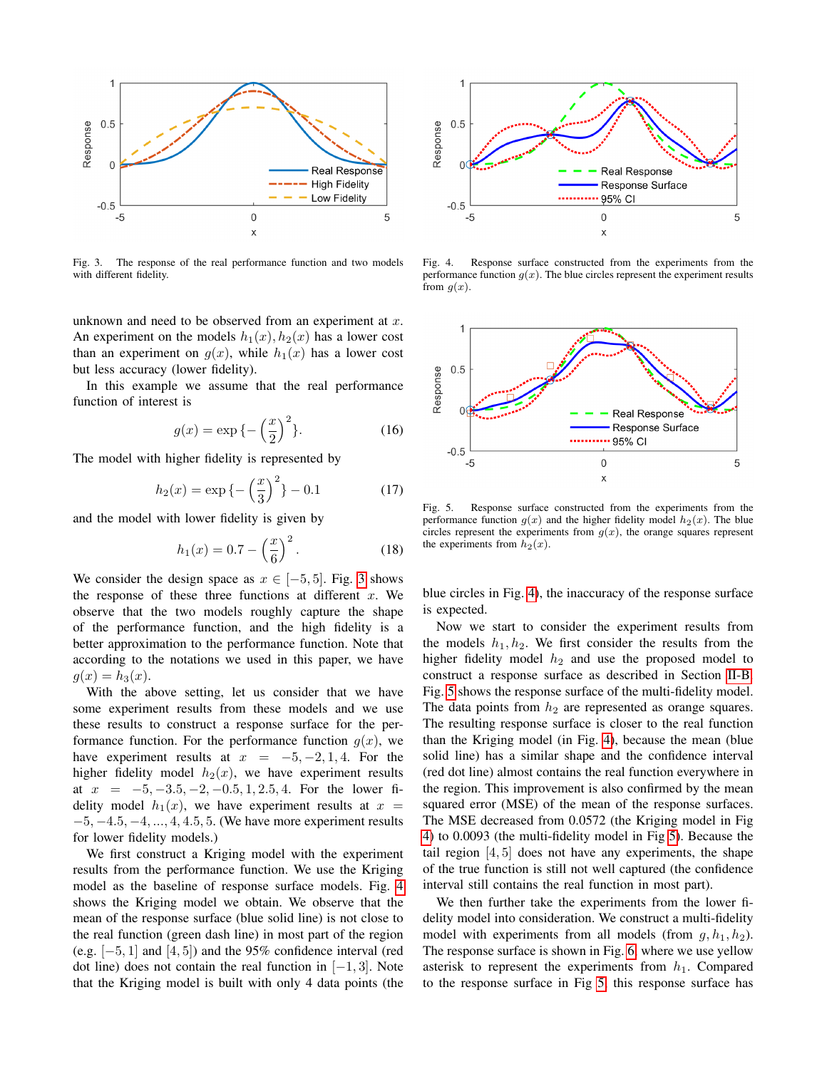

<span id="page-4-0"></span>Fig. 3. The response of the real performance function and two models with different fidelity.

unknown and need to be observed from an experiment at  $x$ . An experiment on the models  $h_1(x)$ ,  $h_2(x)$  has a lower cost than an experiment on  $g(x)$ , while  $h_1(x)$  has a lower cost but less accuracy (lower fidelity).

In this example we assume that the real performance function of interest is

$$
g(x) = \exp\{-\left(\frac{x}{2}\right)^2\}.
$$
 (16)

The model with higher fidelity is represented by

$$
h_2(x) = \exp\left\{-\left(\frac{x}{3}\right)^2\right\} - 0.1\tag{17}
$$

and the model with lower fidelity is given by

$$
h_1(x) = 0.7 - \left(\frac{x}{6}\right)^2.
$$
 (18)

We consider the design space as  $x \in [-5, 5]$ . Fig. [3](#page-4-0) shows the response of these three functions at different  $x$ . We observe that the two models roughly capture the shape of the performance function, and the high fidelity is a better approximation to the performance function. Note that according to the notations we used in this paper, we have  $g(x) = h_3(x)$ .

With the above setting, let us consider that we have some experiment results from these models and we use these results to construct a response surface for the performance function. For the performance function  $g(x)$ , we have experiment results at  $x = -5, -2, 1, 4$ . For the higher fidelity model  $h_2(x)$ , we have experiment results at  $x = -5, -3.5, -2, -0.5, 1, 2.5, 4$ . For the lower fidelity model  $h_1(x)$ , we have experiment results at  $x =$  $-5, -4.5, -4, ..., 4, 4.5, 5$ . (We have more experiment results for lower fidelity models.)

We first construct a Kriging model with the experiment results from the performance function. We use the Kriging model as the baseline of response surface models. Fig. [4](#page-4-1) shows the Kriging model we obtain. We observe that the mean of the response surface (blue solid line) is not close to the real function (green dash line) in most part of the region (e.g.  $[-5, 1]$  and  $[4, 5]$ ) and the 95% confidence interval (red dot line) does not contain the real function in  $[-1, 3]$ . Note that the Kriging model is built with only 4 data points (the



<span id="page-4-1"></span>Fig. 4. Response surface constructed from the experiments from the performance function  $g(x)$ . The blue circles represent the experiment results from  $g(x)$ .



<span id="page-4-2"></span>Fig. 5. Response surface constructed from the experiments from the performance function  $g(x)$  and the higher fidelity model  $h_2(x)$ . The blue circles represent the experiments from  $g(x)$ , the orange squares represent the experiments from  $h_2(x)$ .

blue circles in Fig. [4\)](#page-4-1), the inaccuracy of the response surface is expected.

Now we start to consider the experiment results from the models  $h_1, h_2$ . We first consider the results from the higher fidelity model  $h_2$  and use the proposed model to construct a response surface as described in Section [II-B.](#page-1-4) Fig. [5](#page-4-2) shows the response surface of the multi-fidelity model. The data points from  $h_2$  are represented as orange squares. The resulting response surface is closer to the real function than the Kriging model (in Fig. [4\)](#page-4-1), because the mean (blue solid line) has a similar shape and the confidence interval (red dot line) almost contains the real function everywhere in the region. This improvement is also confirmed by the mean squared error (MSE) of the mean of the response surfaces. The MSE decreased from 0.0572 (the Kriging model in Fig [4\)](#page-4-1) to 0.0093 (the multi-fidelity model in Fig [5\)](#page-4-2). Because the tail region  $[4, 5]$  does not have any experiments, the shape of the true function is still not well captured (the confidence interval still contains the real function in most part).

We then further take the experiments from the lower fidelity model into consideration. We construct a multi-fidelity model with experiments from all models (from  $g, h_1, h_2$ ). The response surface is shown in Fig. [6,](#page-5-0) where we use yellow asterisk to represent the experiments from  $h_1$ . Compared to the response surface in Fig [5,](#page-4-2) this response surface has